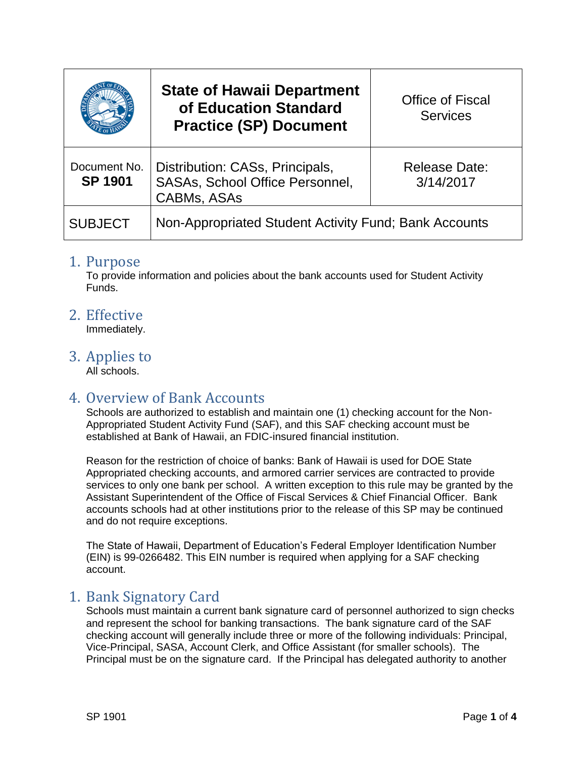|                                | <b>State of Hawaii Department</b><br>of Education Standard<br><b>Practice (SP) Document</b> | <b>Office of Fiscal</b><br><b>Services</b> |
|--------------------------------|---------------------------------------------------------------------------------------------|--------------------------------------------|
| Document No.<br><b>SP 1901</b> | Distribution: CASs, Principals,<br>SASAs, School Office Personnel,<br><b>CABMs, ASAs</b>    | <b>Release Date:</b><br>3/14/2017          |
| <b>SUBJECT</b>                 | Non-Appropriated Student Activity Fund; Bank Accounts                                       |                                            |

#### 1. Purpose

To provide information and policies about the bank accounts used for Student Activity Funds.

### 2. Effective

Immediately.

### 3. Applies to

All schools.

# 4. Overview of Bank Accounts

Schools are authorized to establish and maintain one (1) checking account for the Non-Appropriated Student Activity Fund (SAF), and this SAF checking account must be established at Bank of Hawaii, an FDIC-insured financial institution.

Reason for the restriction of choice of banks: Bank of Hawaii is used for DOE State Appropriated checking accounts, and armored carrier services are contracted to provide services to only one bank per school. A written exception to this rule may be granted by the Assistant Superintendent of the Office of Fiscal Services & Chief Financial Officer. Bank accounts schools had at other institutions prior to the release of this SP may be continued and do not require exceptions.

The State of Hawaii, Department of Education's Federal Employer Identification Number (EIN) is 99-0266482. This EIN number is required when applying for a SAF checking account.

# 1. Bank Signatory Card

Schools must maintain a current bank signature card of personnel authorized to sign checks and represent the school for banking transactions. The bank signature card of the SAF checking account will generally include three or more of the following individuals: Principal, Vice-Principal, SASA, Account Clerk, and Office Assistant (for smaller schools). The Principal must be on the signature card. If the Principal has delegated authority to another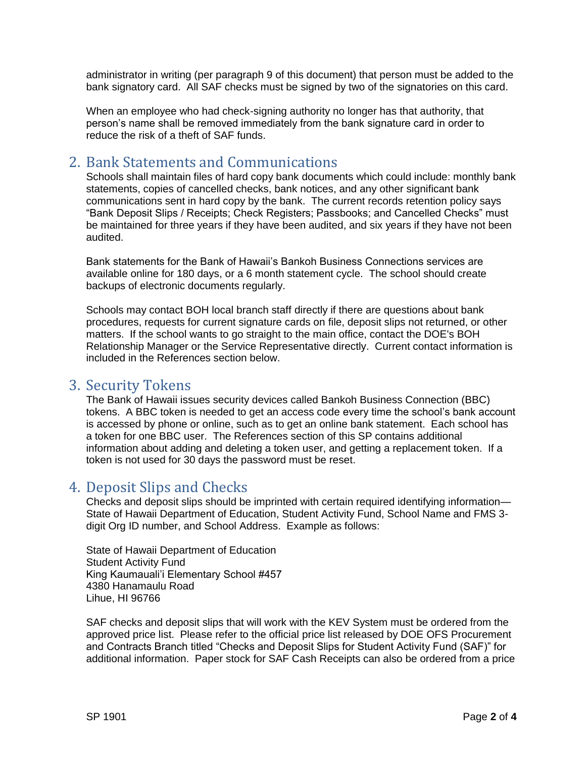administrator in writing (per paragraph 9 of this document) that person must be added to the bank signatory card. All SAF checks must be signed by two of the signatories on this card.

When an employee who had check-signing authority no longer has that authority, that person's name shall be removed immediately from the bank signature card in order to reduce the risk of a theft of SAF funds.

# 2. Bank Statements and Communications

Schools shall maintain files of hard copy bank documents which could include: monthly bank statements, copies of cancelled checks, bank notices, and any other significant bank communications sent in hard copy by the bank. The current records retention policy says "Bank Deposit Slips / Receipts; Check Registers; Passbooks; and Cancelled Checks" must be maintained for three years if they have been audited, and six years if they have not been audited.

Bank statements for the Bank of Hawaii's Bankoh Business Connections services are available online for 180 days, or a 6 month statement cycle. The school should create backups of electronic documents regularly.

Schools may contact BOH local branch staff directly if there are questions about bank procedures, requests for current signature cards on file, deposit slips not returned, or other matters. If the school wants to go straight to the main office, contact the DOE's BOH Relationship Manager or the Service Representative directly. Current contact information is included in the References section below.

# 3. Security Tokens

The Bank of Hawaii issues security devices called Bankoh Business Connection (BBC) tokens. A BBC token is needed to get an access code every time the school's bank account is accessed by phone or online, such as to get an online bank statement. Each school has a token for one BBC user. The References section of this SP contains additional information about adding and deleting a token user, and getting a replacement token. If a token is not used for 30 days the password must be reset.

# 4. Deposit Slips and Checks

Checks and deposit slips should be imprinted with certain required identifying information— State of Hawaii Department of Education, Student Activity Fund, School Name and FMS 3 digit Org ID number, and School Address. Example as follows:

State of Hawaii Department of Education Student Activity Fund King Kaumauali'i Elementary School #457 4380 Hanamaulu Road Lihue, HI 96766

SAF checks and deposit slips that will work with the KEV System must be ordered from the approved price list. Please refer to the official price list released by DOE OFS Procurement and Contracts Branch titled "Checks and Deposit Slips for Student Activity Fund (SAF)" for additional information. Paper stock for SAF Cash Receipts can also be ordered from a price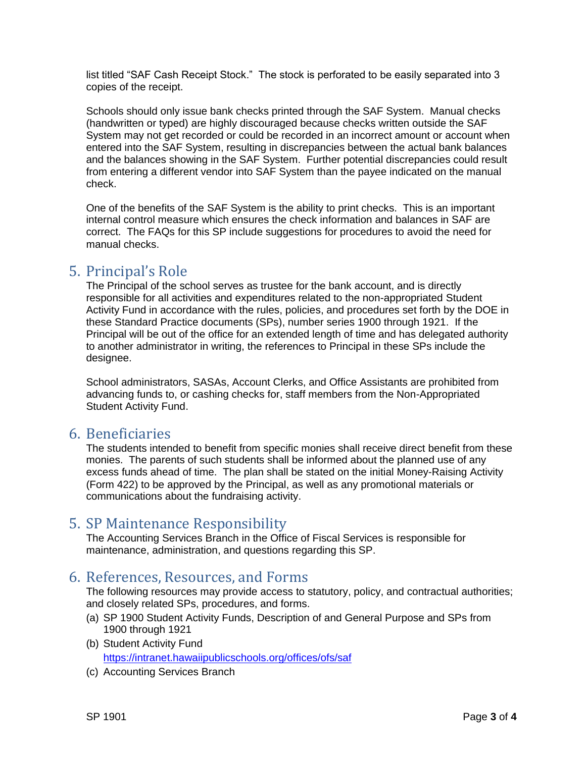list titled "SAF Cash Receipt Stock." The stock is perforated to be easily separated into 3 copies of the receipt.

Schools should only issue bank checks printed through the SAF System. Manual checks (handwritten or typed) are highly discouraged because checks written outside the SAF System may not get recorded or could be recorded in an incorrect amount or account when entered into the SAF System, resulting in discrepancies between the actual bank balances and the balances showing in the SAF System. Further potential discrepancies could result from entering a different vendor into SAF System than the payee indicated on the manual check.

One of the benefits of the SAF System is the ability to print checks. This is an important internal control measure which ensures the check information and balances in SAF are correct. The FAQs for this SP include suggestions for procedures to avoid the need for manual checks.

### 5. Principal's Role

The Principal of the school serves as trustee for the bank account, and is directly responsible for all activities and expenditures related to the non-appropriated Student Activity Fund in accordance with the rules, policies, and procedures set forth by the DOE in these Standard Practice documents (SPs), number series 1900 through 1921. If the Principal will be out of the office for an extended length of time and has delegated authority to another administrator in writing, the references to Principal in these SPs include the designee.

School administrators, SASAs, Account Clerks, and Office Assistants are prohibited from advancing funds to, or cashing checks for, staff members from the Non-Appropriated Student Activity Fund.

#### 6. Beneficiaries

The students intended to benefit from specific monies shall receive direct benefit from these monies. The parents of such students shall be informed about the planned use of any excess funds ahead of time. The plan shall be stated on the initial Money-Raising Activity (Form 422) to be approved by the Principal, as well as any promotional materials or communications about the fundraising activity.

#### 5. SP Maintenance Responsibility

The Accounting Services Branch in the Office of Fiscal Services is responsible for maintenance, administration, and questions regarding this SP.

# 6. References, Resources, and Forms

The following resources may provide access to statutory, policy, and contractual authorities; and closely related SPs, procedures, and forms.

- (a) SP 1900 Student Activity Funds, Description of and General Purpose and SPs from 1900 through 1921
- (b) Student Activity Fund <https://intranet.hawaiipublicschools.org/offices/ofs/saf>
- (c) Accounting Services Branch